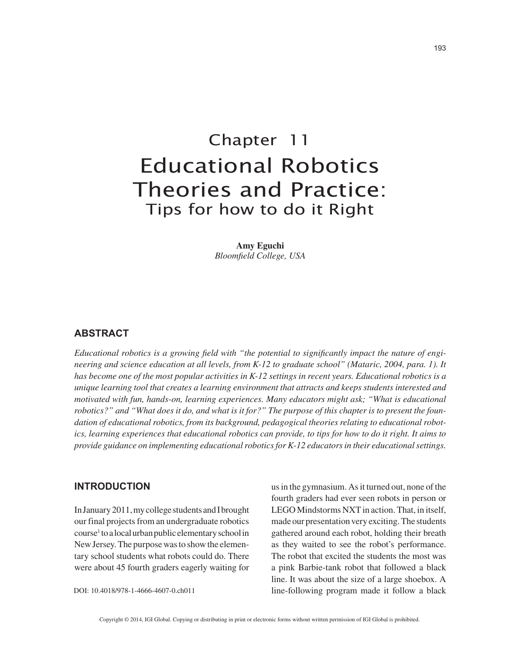# Chapter 11 Educational Robotics Theories and Practice: Tips for how to do it Right

**Amy Eguchi** *Bloomfield College, USA*

### **ABSTRACT**

*Educational robotics is a growing field with "the potential to significantly impact the nature of engineering and science education at all levels, from K-12 to graduate school" (Mataric, 2004, para. 1). It has become one of the most popular activities in K-12 settings in recent years. Educational robotics is a unique learning tool that creates a learning environment that attracts and keeps students interested and motivated with fun, hands-on, learning experiences. Many educators might ask; "What is educational robotics?" and "What does it do, and what is it for?" The purpose of this chapter is to present the foundation of educational robotics, from its background, pedagogical theories relating to educational robotics, learning experiences that educational robotics can provide, to tips for how to do it right. It aims to provide guidance on implementing educational robotics for K-12 educators in their educational settings.*

## **INTRODUCTION**

In January 2011, my college students and I brought our final projects from an undergraduate robotics course1 to a local urban public elementary school in New Jersey. The purpose was to show the elementary school students what robots could do. There were about 45 fourth graders eagerly waiting for

DOI: 10.4018/978-1-4666-4607-0.ch011

us in the gymnasium. As it turned out, none of the fourth graders had ever seen robots in person or LEGO Mindstorms NXT in action. That, in itself, made our presentation very exciting. The students gathered around each robot, holding their breath as they waited to see the robot's performance. The robot that excited the students the most was a pink Barbie-tank robot that followed a black line. It was about the size of a large shoebox. A line-following program made it follow a black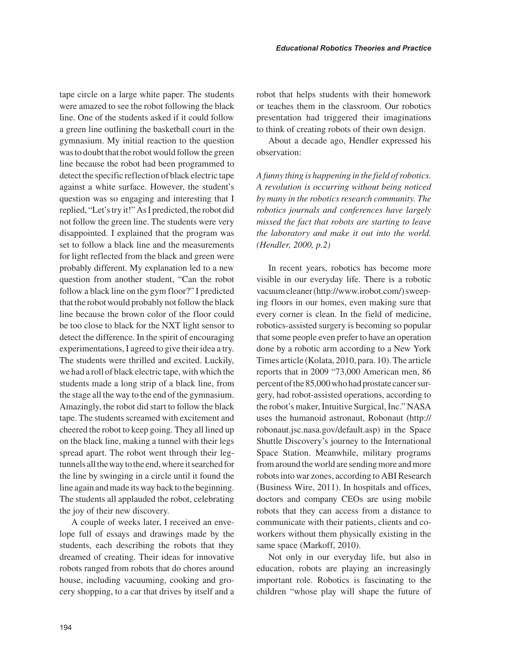tape circle on a large white paper. The students were amazed to see the robot following the black line. One of the students asked if it could follow a green line outlining the basketball court in the gymnasium. My initial reaction to the question was to doubt that the robot would follow the green line because the robot had been programmed to detect the specific reflection of black electric tape against a white surface. However, the student's question was so engaging and interesting that I replied, "Let's try it!" As I predicted, the robot did not follow the green line. The students were very disappointed. I explained that the program was set to follow a black line and the measurements for light reflected from the black and green were probably different. My explanation led to a new question from another student, "Can the robot follow a black line on the gym floor?" I predicted that the robot would probably not follow the black line because the brown color of the floor could be too close to black for the NXT light sensor to detect the difference. In the spirit of encouraging experimentations, I agreed to give their idea a try. The students were thrilled and excited. Luckily, we had a roll of black electric tape, with which the students made a long strip of a black line, from the stage all the way to the end of the gymnasium. Amazingly, the robot did start to follow the black tape. The students screamed with excitement and cheered the robot to keep going. They all lined up on the black line, making a tunnel with their legs spread apart. The robot went through their legtunnels all the way to the end, where it searched for the line by swinging in a circle until it found the line again and made its way back to the beginning. The students all applauded the robot, celebrating the joy of their new discovery.

A couple of weeks later, I received an envelope full of essays and drawings made by the students, each describing the robots that they dreamed of creating. Their ideas for innovative robots ranged from robots that do chores around house, including vacuuming, cooking and grocery shopping, to a car that drives by itself and a robot that helps students with their homework or teaches them in the classroom. Our robotics presentation had triggered their imaginations to think of creating robots of their own design.

About a decade ago, Hendler expressed his observation:

*A funny thing is happening in the field of robotics. A revolution is occurring without being noticed by many in the robotics research community. The robotics journals and conferences have largely missed the fact that robots are starting to leave the laboratory and make it out into the world. (Hendler, 2000, p.2)*

In recent years, robotics has become more visible in our everyday life. There is a robotic vacuum cleaner (http://www.irobot.com/) sweeping floors in our homes, even making sure that every corner is clean. In the field of medicine, robotics-assisted surgery is becoming so popular that some people even prefer to have an operation done by a robotic arm according to a New York Times article (Kolata, 2010, para. 10). The article reports that in 2009 "73,000 American men, 86 percent of the 85,000 who had prostate cancer surgery, had robot-assisted operations, according to the robot's maker, Intuitive Surgical, Inc." NASA uses the humanoid astronaut, Robonaut (http:// robonaut.jsc.nasa.gov/default.asp) in the Space Shuttle Discovery's journey to the International Space Station. Meanwhile, military programs from around the world are sending more and more robots into war zones, according to ABI Research (Business Wire, 2011). In hospitals and offices, doctors and company CEOs are using mobile robots that they can access from a distance to communicate with their patients, clients and coworkers without them physically existing in the same space (Markoff, 2010).

Not only in our everyday life, but also in education, robots are playing an increasingly important role. Robotics is fascinating to the children "whose play will shape the future of